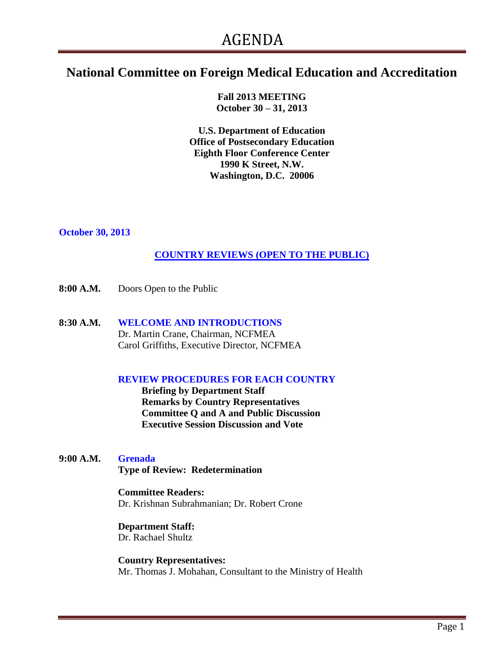# **National Committee on Foreign Medical Education and Accreditation**

**Fall 2013 MEETING October 30 – 31, 2013**

**U.S. Department of Education Office of Postsecondary Education Eighth Floor Conference Center 1990 K Street, N.W. Washington, D.C. 20006**

#### **October 30, 2013**

## **COUNTRY REVIEWS (OPEN TO THE PUBLIC)**

- **8:00 A.M.** Doors Open to the Public
- **8:30 A.M. WELCOME AND INTRODUCTIONS** Dr. Martin Crane, Chairman, NCFMEA Carol Griffiths, Executive Director, NCFMEA

#### **REVIEW PROCEDURES FOR EACH COUNTRY**

**Briefing by Department Staff Remarks by Country Representatives Committee Q and A and Public Discussion Executive Session Discussion and Vote**

**9:00 A.M. Grenada**

 **Type of Review: Redetermination**

#### **Committee Readers:**

Dr. Krishnan Subrahmanian; Dr. Robert Crone

## **Department Staff:**

Dr. Rachael Shultz

 **Country Representatives:** Mr. Thomas J. Mohahan, Consultant to the Ministry of Health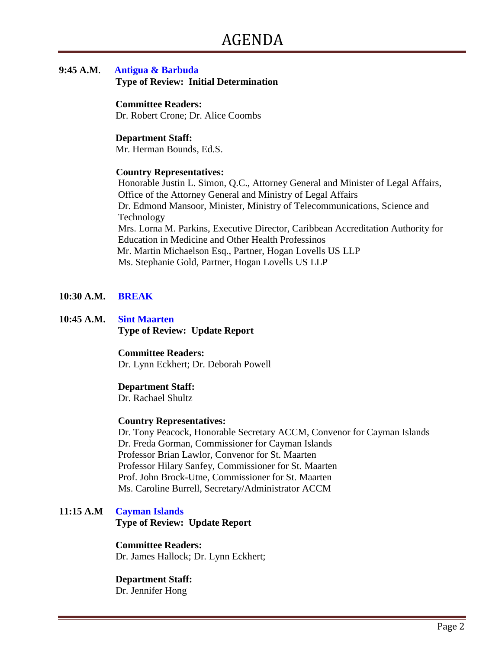# **9:45 A.M**. **Antigua & Barbuda**

 **Type of Review: Initial Determination**

#### **Committee Readers:**

Dr. Robert Crone; Dr. Alice Coombs

## **Department Staff:**

Mr. Herman Bounds, Ed.S.

## **Country Representatives:**

Honorable Justin L. Simon, Q.C., Attorney General and Minister of Legal Affairs, Office of the Attorney General and Ministry of Legal Affairs Dr. Edmond Mansoor, Minister, Ministry of Telecommunications, Science and Technology Mrs. Lorna M. Parkins, Executive Director, Caribbean Accreditation Authority for Education in Medicine and Other Health Professinos Mr. Martin Michaelson Esq., Partner, Hogan Lovells US LLP Ms. Stephanie Gold, Partner, Hogan Lovells US LLP

## **10:30 A.M. BREAK**

#### **10:45 A.M. Sint Maarten Type of Review: Update Report**

#### **Committee Readers:**

Dr. Lynn Eckhert; Dr. Deborah Powell

#### **Department Staff:**

Dr. Rachael Shultz

#### **Country Representatives:**

Dr. Tony Peacock, Honorable Secretary ACCM, Convenor for Cayman Islands Dr. Freda Gorman, Commissioner for Cayman Islands Professor Brian Lawlor, Convenor for St. Maarten Professor Hilary Sanfey, Commissioner for St. Maarten Prof. John Brock-Utne, Commissioner for St. Maarten Ms. Caroline Burrell, Secretary/Administrator ACCM

## **11:15 A.M Cayman Islands Type of Review: Update Report**

 **Committee Readers:** Dr. James Hallock; Dr. Lynn Eckhert;

## **Department Staff:**

Dr. Jennifer Hong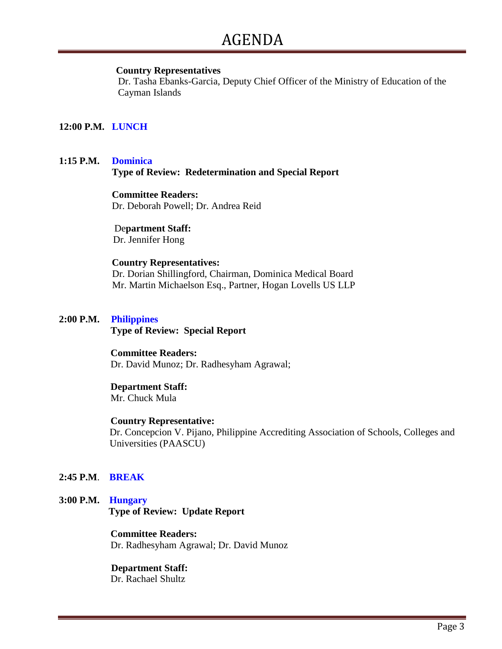#### **Country Representatives**

Dr. Tasha Ebanks-Garcia, Deputy Chief Officer of the Ministry of Education of the Cayman Islands

## **12:00 P.M. LUNCH**

## **1:15 P.M. Dominica Type of Review: Redetermination and Special Report**

#### **Committee Readers:**

Dr. Deborah Powell; Dr. Andrea Reid

## De**partment Staff:**

Dr. Jennifer Hong

#### **Country Representatives:**

Dr. Dorian Shillingford, Chairman, Dominica Medical Board Mr. Martin Michaelson Esq., Partner, Hogan Lovells US LLP

#### **2:00 P.M. Philippines**

 **Type of Review: Special Report**

#### **Committee Readers:**

Dr. David Munoz; Dr. Radhesyham Agrawal;

#### **Department Staff:**

Mr. Chuck Mula

#### **Country Representative:**

 Dr. Concepcion V. Pijano, Philippine Accrediting Association of Schools, Colleges and Universities (PAASCU)

#### **2:45 P.M**. **BREAK**

## **3:00 P.M. Hungary Type of Review: Update Report**

#### **Committee Readers:**

Dr. Radhesyham Agrawal; Dr. David Munoz

## **Department Staff:**

Dr. Rachael Shultz